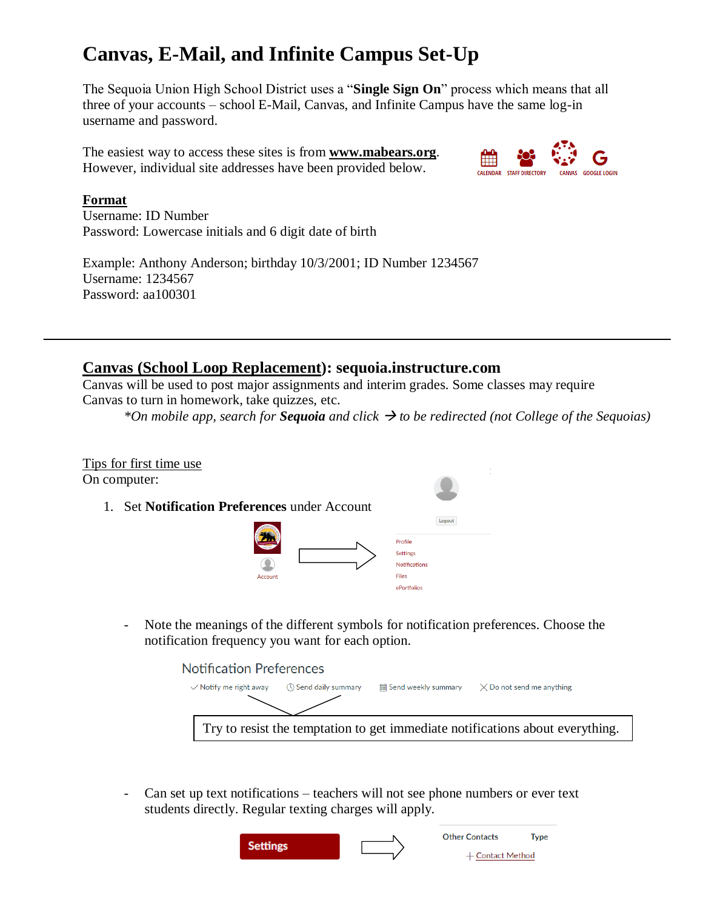# **Canvas, E-Mail, and Infinite Campus Set-Up**

The Sequoia Union High School District uses a "**Single Sign On**" process which means that all three of your accounts – school E-Mail, Canvas, and Infinite Campus have the same log-in username and password.

The easiest way to access these sites is from **www.mabears.org**. However, individual site addresses have been provided below.



#### **Format**

Username: ID Number Password: Lowercase initials and 6 digit date of birth

Example: Anthony Anderson; birthday 10/3/2001; ID Number 1234567 Username: 1234567 Password: aa100301

### **Canvas (School Loop Replacement): sequoia.instructure.com**

Canvas will be used to post major assignments and interim grades. Some classes may require Canvas to turn in homework, take quizzes, etc.

*\*On mobile app, search for Sequoia and click to be redirected (not College of the Sequoias)*



- Note the meanings of the different symbols for notification preferences. Choose the notification frequency you want for each option.

**Notification Preferences** 

| $\vee$ Notify me right away | ◯ Send daily summary | <b>■ Send weekly summary</b> | $\times$ Do not send me anything                                              |  |
|-----------------------------|----------------------|------------------------------|-------------------------------------------------------------------------------|--|
|                             |                      |                              |                                                                               |  |
|                             |                      |                              | Try to resist the temptation to get immediate notifications about everything. |  |

- Can set up text notifications – teachers will not see phone numbers or ever text students directly. Regular texting charges will apply.

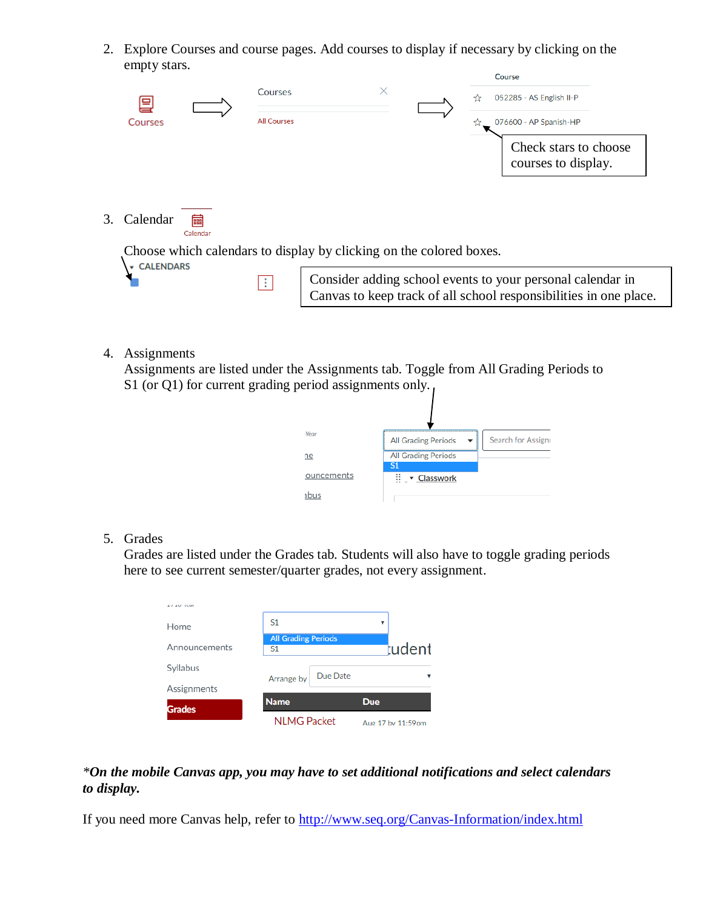2. Explore Courses and course pages. Add courses to display if necessary by clicking on the empty stars.  $\epsilon$ <sub>2</sub>

|                                                                     | 팈<br>Courses     |               | Courses<br><b>All Courses</b> | course<br>×<br>052285 - AS English II-P<br>076600 - AP Spanish-HP                                                              |  |
|---------------------------------------------------------------------|------------------|---------------|-------------------------------|--------------------------------------------------------------------------------------------------------------------------------|--|
|                                                                     |                  |               |                               | Check stars to choose<br>courses to display.                                                                                   |  |
| 3.                                                                  | Calendar         | 藟<br>Calendar |                               |                                                                                                                                |  |
| Choose which calendars to display by clicking on the colored boxes. |                  |               |                               |                                                                                                                                |  |
|                                                                     | <b>CALENDARS</b> |               | H.                            | Consider adding school events to your personal calendar in<br>Canvas to keep track of all school responsibilities in one place |  |

4. Assignments

Assignments are listed under the Assignments tab. Toggle from All Grading Periods to S1 (or Q1) for current grading period assignments only.

| $\sum_{i=1}^{n}$ |                                             |                    |
|------------------|---------------------------------------------|--------------------|
| <b>Year</b>      | <b>All Grading Periods</b>                  | Search for Assigni |
| ne               | <b>All Grading Periods</b>                  |                    |
| ouncements       | <sup>S1</sup><br>$\cdots$ $\cdot$ Classwork |                    |
|                  |                                             |                    |

5. Grades

Grades are listed under the Grades tab. Students will also have to toggle grading periods here to see current semester/quarter grades, not every assignment.

| 4 / 4 1/ 15:10 |                                              |          |                   |        |
|----------------|----------------------------------------------|----------|-------------------|--------|
| Home           | S <sub>1</sub>                               |          | ▼                 |        |
| Announcements  | <b>All Grading Periods</b><br>S <sub>1</sub> |          |                   | tudent |
| Syllabus       | Arrange by                                   | Due Date |                   |        |
| Assignments    |                                              |          |                   |        |
| Grades         | <b>Name</b>                                  |          | <b>Due</b>        |        |
|                | <b>NLMG Packet</b>                           |          | Aug 17 by 11:59pm |        |

#### *\*On the mobile Canvas app, you may have to set additional notifications and select calendars to display.*

If you need more Canvas help, refer to<http://www.seq.org/Canvas-Information/index.html>